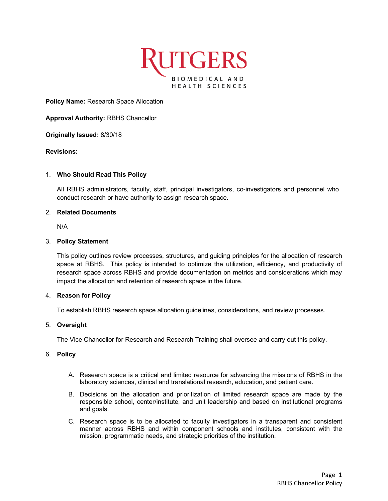

**Policy Name:** Research Space Allocation

**Approval Authority:** RBHS Chancellor

**Originally Issued:** 8/30/18

### **Revisions:**

### 1. **Who Should Read This Policy**

All RBHS administrators, faculty, staff, principal investigators, co-investigators and personnel who conduct research or have authority to assign research space.

# 2. **Related Documents**

N/A

# 3. **Policy Statement**

This policy outlines review processes, structures, and guiding principles for the allocation of research space at RBHS. This policy is intended to optimize the utilization, efficiency, and productivity of research space across RBHS and provide documentation on metrics and considerations which may impact the allocation and retention of research space in the future.

### 4. **Reason for Policy**

To establish RBHS research space allocation guidelines, considerations, and review processes.

### 5. **Oversight**

The Vice Chancellor for Research and Research Training shall oversee and carry out this policy.

#### 6. **Policy**

- A. Research space is a critical and limited resource for advancing the missions of RBHS in the laboratory sciences, clinical and translational research, education, and patient care.
- B. Decisions on the allocation and prioritization of limited research space are made by the responsible school, center/institute, and unit leadership and based on institutional programs and goals.
- C. Research space is to be allocated to faculty investigators in a transparent and consistent manner across RBHS and within component schools and institutes, consistent with the mission, programmatic needs, and strategic priorities of the institution.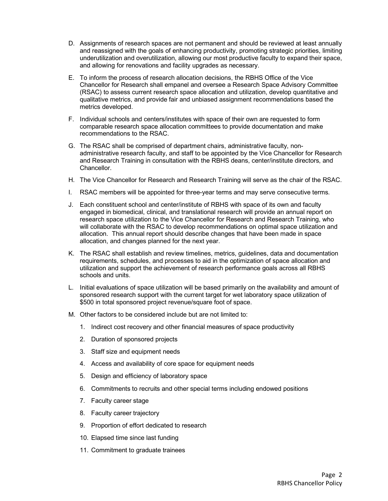- D. Assignments of research spaces are not permanent and should be reviewed at least annually and reassigned with the goals of enhancing productivity, promoting strategic priorities, limiting underutilization and overutilization, allowing our most productive faculty to expand their space, and allowing for renovations and facility upgrades as necessary.
- E. To inform the process of research allocation decisions, the RBHS Office of the Vice Chancellor for Research shall empanel and oversee a Research Space Advisory Committee (RSAC) to assess current research space allocation and utilization, develop quantitative and qualitative metrics, and provide fair and unbiased assignment recommendations based the metrics developed.
- F. Individual schools and centers/institutes with space of their own are requested to form comparable research space allocation committees to provide documentation and make recommendations to the RSAC.
- G. The RSAC shall be comprised of department chairs, administrative faculty, nonadministrative research faculty, and staff to be appointed by the Vice Chancellor for Research and Research Training in consultation with the RBHS deans, center/institute directors, and Chancellor.
- H. The Vice Chancellor for Research and Research Training will serve as the chair of the RSAC.
- I. RSAC members will be appointed for three-year terms and may serve consecutive terms.
- J. Each constituent school and center/institute of RBHS with space of its own and faculty engaged in biomedical, clinical, and translational research will provide an annual report on research space utilization to the Vice Chancellor for Research and Research Training, who will collaborate with the RSAC to develop recommendations on optimal space utilization and allocation. This annual report should describe changes that have been made in space allocation, and changes planned for the next year.
- K. The RSAC shall establish and review timelines, metrics, guidelines, data and documentation requirements, schedules, and processes to aid in the optimization of space allocation and utilization and support the achievement of research performance goals across all RBHS schools and units.
- L. Initial evaluations of space utilization will be based primarily on the availability and amount of sponsored research support with the current target for wet laboratory space utilization of \$500 in total sponsored project revenue/square foot of space.
- M. Other factors to be considered include but are not limited to:
	- 1. Indirect cost recovery and other financial measures of space productivity
	- 2. Duration of sponsored projects
	- 3. Staff size and equipment needs
	- 4. Access and availability of core space for equipment needs
	- 5. Design and efficiency of laboratory space
	- 6. Commitments to recruits and other special terms including endowed positions
	- 7. Faculty career stage
	- 8. Faculty career trajectory
	- 9. Proportion of effort dedicated to research
	- 10. Elapsed time since last funding
	- 11. Commitment to graduate trainees